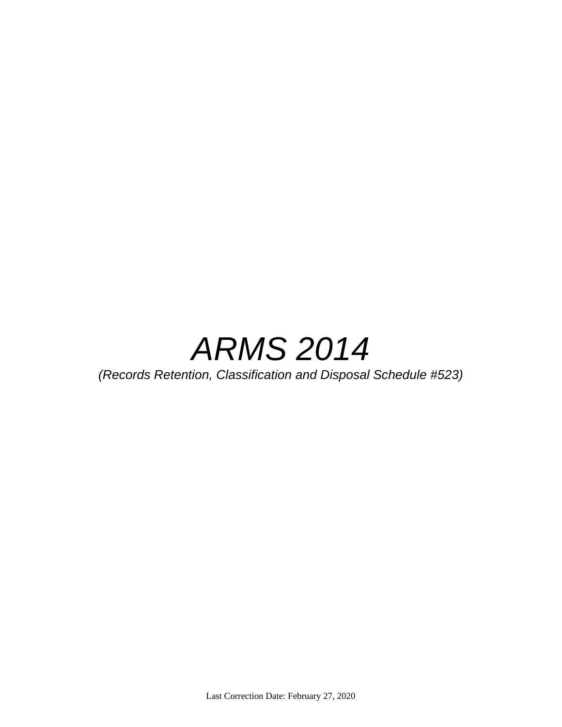

*(Records Retention, Classification and Disposal Schedule #523)*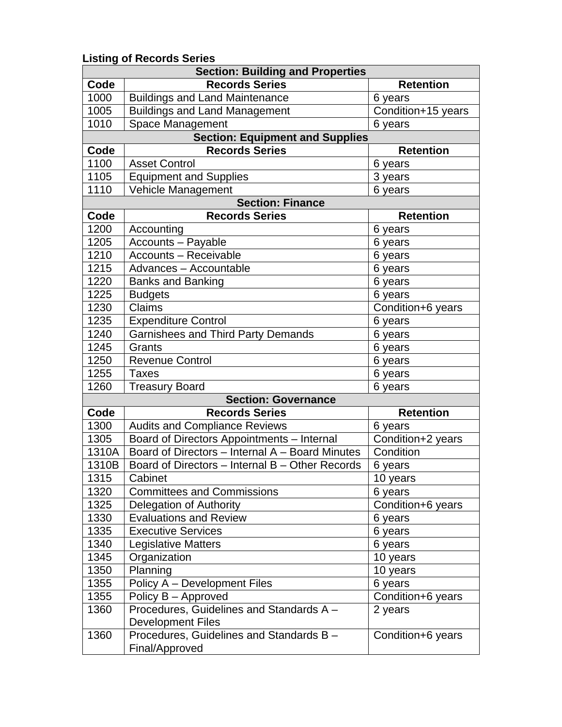## **Listing of Records Series**

|       | <b>Section: Building and Properties</b>                              |                    |
|-------|----------------------------------------------------------------------|--------------------|
| Code  | <b>Records Series</b>                                                | <b>Retention</b>   |
| 1000  | <b>Buildings and Land Maintenance</b>                                | 6 years            |
| 1005  | <b>Buildings and Land Management</b>                                 | Condition+15 years |
| 1010  | Space Management                                                     | 6 years            |
|       | <b>Section: Equipment and Supplies</b>                               |                    |
| Code  | <b>Records Series</b>                                                | <b>Retention</b>   |
| 1100  | <b>Asset Control</b>                                                 | 6 years            |
| 1105  | <b>Equipment and Supplies</b>                                        | 3 years            |
| 1110  | Vehicle Management                                                   | 6 years            |
|       | <b>Section: Finance</b>                                              |                    |
| Code  | <b>Records Series</b>                                                | <b>Retention</b>   |
| 1200  | Accounting                                                           | 6 years            |
| 1205  | <b>Accounts - Payable</b>                                            | 6 years            |
| 1210  | <b>Accounts - Receivable</b>                                         | 6 years            |
| 1215  | Advances - Accountable                                               | 6 years            |
| 1220  | <b>Banks and Banking</b>                                             | 6 years            |
| 1225  | <b>Budgets</b>                                                       | 6 years            |
| 1230  | Claims                                                               | Condition+6 years  |
| 1235  | <b>Expenditure Control</b>                                           | 6 years            |
| 1240  | <b>Garnishees and Third Party Demands</b>                            | 6 years            |
| 1245  | Grants                                                               | 6 years            |
| 1250  | <b>Revenue Control</b>                                               | 6 years            |
| 1255  | <b>Taxes</b>                                                         | 6 years            |
| 1260  | <b>Treasury Board</b>                                                | 6 years            |
|       | <b>Section: Governance</b>                                           |                    |
| Code  | <b>Records Series</b>                                                | <b>Retention</b>   |
| 1300  | <b>Audits and Compliance Reviews</b>                                 | 6 years            |
| 1305  | Board of Directors Appointments - Internal                           | Condition+2 years  |
| 1310A | Board of Directors - Internal A - Board Minutes                      | Condition          |
| 1310B | Board of Directors - Internal B - Other Records                      | 6 years            |
| 1315  | Cabinet                                                              | 10 years           |
| 1320  | <b>Committees and Commissions</b>                                    | 6 years            |
| 1325  | Delegation of Authority                                              | Condition+6 years  |
| 1330  | <b>Evaluations and Review</b>                                        | 6 years            |
| 1335  | <b>Executive Services</b>                                            | 6 years            |
| 1340  | <b>Legislative Matters</b>                                           | 6 years            |
| 1345  | Organization                                                         | 10 years           |
| 1350  | Planning                                                             | 10 years           |
| 1355  | Policy A - Development Files                                         | 6 years            |
| 1355  | Policy B – Approved                                                  | Condition+6 years  |
| 1360  | Procedures, Guidelines and Standards A -<br><b>Development Files</b> | 2 years            |
| 1360  | Procedures, Guidelines and Standards B -<br>Final/Approved           | Condition+6 years  |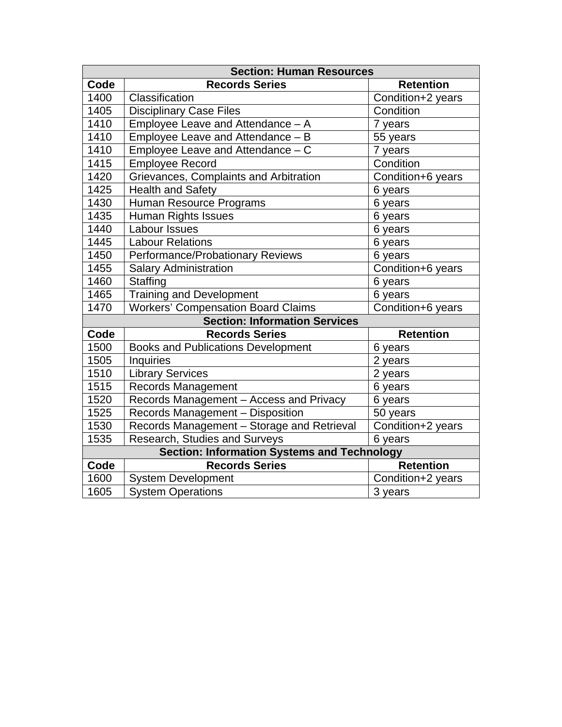|      | <b>Section: Human Resources</b>                    |                   |  |
|------|----------------------------------------------------|-------------------|--|
| Code | <b>Records Series</b>                              | <b>Retention</b>  |  |
| 1400 | Classification                                     | Condition+2 years |  |
| 1405 | <b>Disciplinary Case Files</b>                     | Condition         |  |
| 1410 | Employee Leave and Attendance - A                  | 7 years           |  |
| 1410 | Employee Leave and Attendance - B                  | 55 years          |  |
| 1410 | Employee Leave and Attendance - C                  | 7 years           |  |
| 1415 | <b>Employee Record</b>                             | Condition         |  |
| 1420 | Grievances, Complaints and Arbitration             | Condition+6 years |  |
| 1425 | <b>Health and Safety</b>                           | 6 years           |  |
| 1430 | Human Resource Programs                            | 6 years           |  |
| 1435 | Human Rights Issues                                | 6 years           |  |
| 1440 | Labour Issues                                      | 6 years           |  |
| 1445 | <b>Labour Relations</b>                            | 6 years           |  |
| 1450 | Performance/Probationary Reviews                   | 6 years           |  |
| 1455 | <b>Salary Administration</b>                       | Condition+6 years |  |
| 1460 | Staffing                                           | 6 years           |  |
| 1465 | <b>Training and Development</b>                    | 6 years           |  |
| 1470 | <b>Workers' Compensation Board Claims</b>          | Condition+6 years |  |
|      | <b>Section: Information Services</b>               |                   |  |
| Code | <b>Records Series</b>                              | <b>Retention</b>  |  |
| 1500 | <b>Books and Publications Development</b>          | 6 years           |  |
| 1505 | <b>Inquiries</b>                                   | 2 years           |  |
| 1510 | <b>Library Services</b>                            | 2 years           |  |
| 1515 | Records Management                                 | 6 years           |  |
| 1520 | Records Management - Access and Privacy            | 6 years           |  |
| 1525 | Records Management - Disposition                   | 50 years          |  |
| 1530 | Records Management - Storage and Retrieval         | Condition+2 years |  |
| 1535 | Research, Studies and Surveys                      | 6 years           |  |
|      | <b>Section: Information Systems and Technology</b> |                   |  |
| Code | <b>Records Series</b>                              | <b>Retention</b>  |  |
| 1600 | <b>System Development</b>                          | Condition+2 years |  |
| 1605 | <b>System Operations</b>                           | 3 years           |  |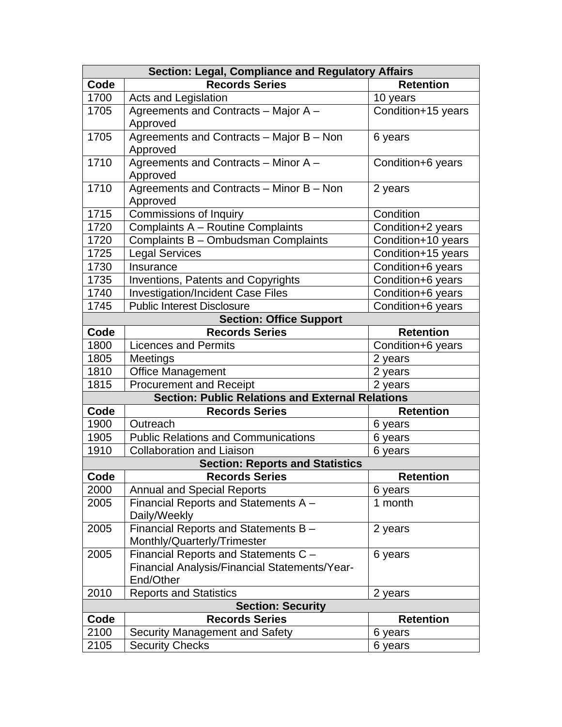|      | <b>Section: Legal, Compliance and Regulatory Affairs</b> |                    |
|------|----------------------------------------------------------|--------------------|
| Code | <b>Records Series</b>                                    | <b>Retention</b>   |
| 1700 | Acts and Legislation                                     | 10 years           |
| 1705 | Agreements and Contracts - Major A -                     | Condition+15 years |
|      | Approved                                                 |                    |
| 1705 | Agreements and Contracts - Major B - Non                 | 6 years            |
|      | Approved                                                 |                    |
| 1710 | Agreements and Contracts - Minor A -                     | Condition+6 years  |
|      | Approved                                                 |                    |
| 1710 | Agreements and Contracts - Minor B - Non                 | 2 years            |
|      | Approved                                                 |                    |
| 1715 | Commissions of Inquiry                                   | Condition          |
| 1720 | Complaints A - Routine Complaints                        | Condition+2 years  |
| 1720 | Complaints B - Ombudsman Complaints                      | Condition+10 years |
| 1725 | <b>Legal Services</b>                                    | Condition+15 years |
| 1730 | Insurance                                                | Condition+6 years  |
| 1735 | <b>Inventions, Patents and Copyrights</b>                | Condition+6 years  |
| 1740 | <b>Investigation/Incident Case Files</b>                 | Condition+6 years  |
| 1745 | <b>Public Interest Disclosure</b>                        | Condition+6 years  |
|      | <b>Section: Office Support</b>                           |                    |
| Code | <b>Records Series</b>                                    | <b>Retention</b>   |
| 1800 | <b>Licences and Permits</b>                              | Condition+6 years  |
| 1805 | Meetings                                                 | 2 years            |
| 1810 | <b>Office Management</b>                                 | 2 years            |
| 1815 | <b>Procurement and Receipt</b>                           | 2 years            |
|      | <b>Section: Public Relations and External Relations</b>  |                    |
| Code | <b>Records Series</b>                                    | <b>Retention</b>   |
| 1900 | Outreach                                                 | 6 years            |
| 1905 | <b>Public Relations and Communications</b>               | 6 years            |
| 1910 | <b>Collaboration and Liaison</b>                         | 6 years            |
|      | <b>Section: Reports and Statistics</b>                   |                    |
| Code | <b>Records Series</b>                                    | <b>Retention</b>   |
| 2000 | <b>Annual and Special Reports</b>                        | 6 years            |
| 2005 | Financial Reports and Statements A -                     | 1 month            |
|      | Daily/Weekly                                             |                    |
| 2005 | Financial Reports and Statements B -                     | 2 years            |
|      | Monthly/Quarterly/Trimester                              |                    |
| 2005 | Financial Reports and Statements C -                     | 6 years            |
|      | Financial Analysis/Financial Statements/Year-            |                    |
|      | End/Other                                                |                    |
| 2010 | <b>Reports and Statistics</b>                            | 2 years            |
|      | <b>Section: Security</b>                                 |                    |
| Code | <b>Records Series</b>                                    | <b>Retention</b>   |
| 2100 | Security Management and Safety                           | 6 years            |
| 2105 | <b>Security Checks</b>                                   | 6 years            |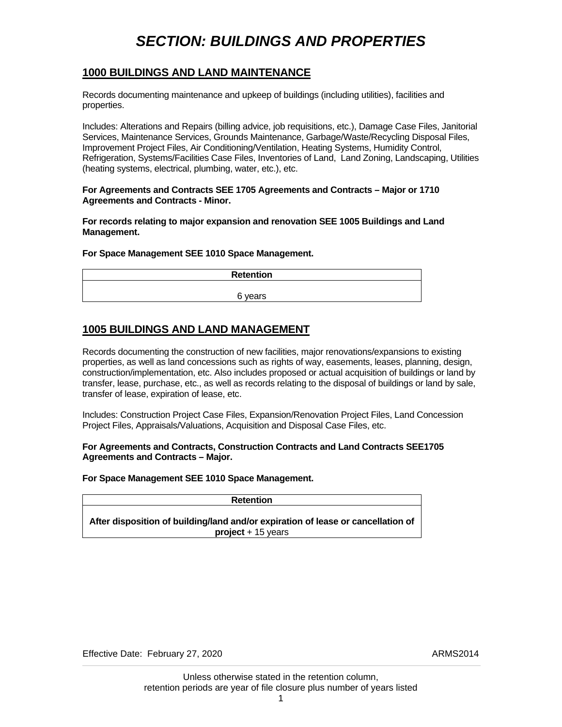## *SECTION: BUILDINGS AND PROPERTIES*

#### <span id="page-4-0"></span>**1000 BUILDINGS AND LAND MAINTENANCE**

Records documenting maintenance and upkeep of buildings (including utilities), facilities and properties.

Includes: Alterations and Repairs (billing advice, job requisitions, etc.), Damage Case Files, Janitorial Services, Maintenance Services, Grounds Maintenance, Garbage/Waste/Recycling Disposal Files, Improvement Project Files, Air Conditioning/Ventilation, Heating Systems, Humidity Control, Refrigeration, Systems/Facilities Case Files, Inventories of Land, Land Zoning, Landscaping, Utilities (heating systems, electrical, plumbing, water, etc.), etc.

#### **For Agreements and Contracts SEE 1705 Agreements and Contracts – Major or 1710 Agreements and Contracts - Minor.**

**For records relating to major expansion and renovation SEE 1005 Buildings and Land Management.** 

#### **For Space Management SEE 1010 Space Management.**

| <b>Retention</b> |
|------------------|
|                  |
| 6 years          |

### **1005 BUILDINGS AND LAND MANAGEMENT**

Records documenting the construction of new facilities, major renovations/expansions to existing properties, as well as land concessions such as rights of way, easements, leases, planning, design, construction/implementation, etc. Also includes proposed or actual acquisition of buildings or land by transfer, lease, purchase, etc., as well as records relating to the disposal of buildings or land by sale, transfer of lease, expiration of lease, etc.

Includes: Construction Project Case Files, Expansion/Renovation Project Files, Land Concession Project Files, Appraisals/Valuations, Acquisition and Disposal Case Files, etc.

**For Agreements and Contracts, Construction Contracts and Land Contracts SEE1705 Agreements and Contracts – Major.** 

#### **For Space Management SEE 1010 Space Management.**

| Retention                                                                        |  |
|----------------------------------------------------------------------------------|--|
| After disposition of building/land and/or expiration of lease or cancellation of |  |
| $project + 15 years$                                                             |  |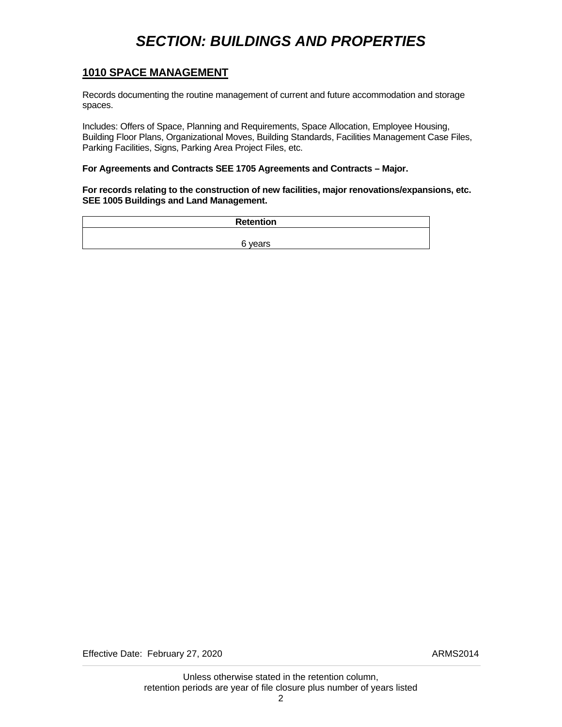## *SECTION: BUILDINGS AND PROPERTIES*

#### <span id="page-5-0"></span>**1010 SPACE MANAGEMENT**

Records documenting the routine management of current and future accommodation and storage spaces.

Includes: Offers of Space, Planning and Requirements, Space Allocation, Employee Housing, Building Floor Plans, Organizational Moves, Building Standards, Facilities Management Case Files, Parking Facilities, Signs, Parking Area Project Files, etc.

#### **For Agreements and Contracts SEE 1705 Agreements and Contracts – Major.**

**For records relating to the construction of new facilities, major renovations/expansions, etc. SEE 1005 Buildings and Land Management.** 

| <b>Retention</b> |
|------------------|
|                  |
| 6 years          |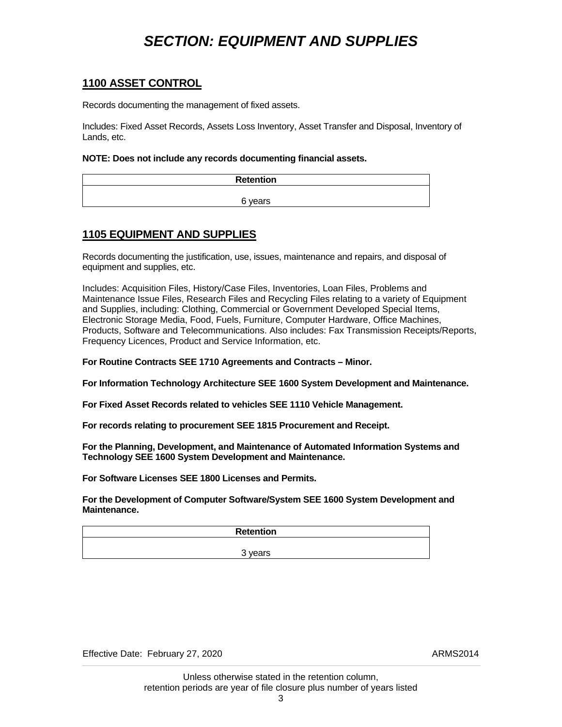## *SECTION: EQUIPMENT AND SUPPLIES*

#### <span id="page-6-0"></span>**1100 ASSET CONTROL**

Records documenting the management of fixed assets.

Includes: Fixed Asset Records, Assets Loss Inventory, Asset Transfer and Disposal, Inventory of Lands, etc.

#### **NOTE: Does not include any records documenting financial assets.**

| <b>Retention</b> |
|------------------|
|                  |
| 6 years          |

### **1105 EQUIPMENT AND SUPPLIES**

Records documenting the justification, use, issues, maintenance and repairs, and disposal of equipment and supplies, etc.

Includes: Acquisition Files, History/Case Files, Inventories, Loan Files, Problems and Maintenance Issue Files, Research Files and Recycling Files relating to a variety of Equipment and Supplies, including: Clothing, Commercial or Government Developed Special Items, Electronic Storage Media, Food, Fuels, Furniture, Computer Hardware, Office Machines, Products, Software and Telecommunications. Also includes: Fax Transmission Receipts/Reports, Frequency Licences, Product and Service Information, etc.

**For Routine Contracts SEE 1710 Agreements and Contracts – Minor.** 

**For Information Technology Architecture SEE 1600 System Development and Maintenance.**

**For Fixed Asset Records related to vehicles SEE 1110 Vehicle Management.** 

**For records relating to procurement SEE 1815 Procurement and Receipt.** 

**For the Planning, Development, and Maintenance of Automated Information Systems and Technology SEE 1600 System Development and Maintenance.** 

**For Software Licenses SEE 1800 Licenses and Permits.** 

**For the Development of Computer Software/System SEE 1600 System Development and Maintenance.** 

**Retention**  3 years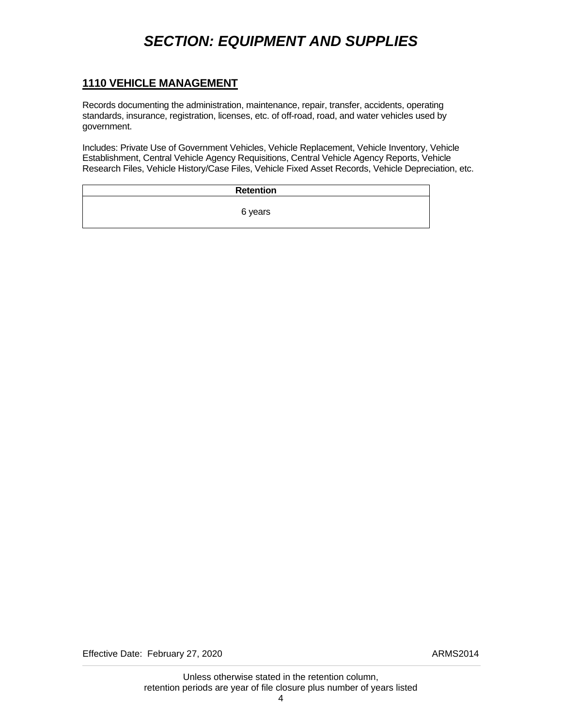## *SECTION: EQUIPMENT AND SUPPLIES*

#### <span id="page-7-0"></span>**1110 VEHICLE MANAGEMENT**

Records documenting the administration, maintenance, repair, transfer, accidents, operating standards, insurance, registration, licenses, etc. of off-road, road, and water vehicles used by government.

Includes: Private Use of Government Vehicles, Vehicle Replacement, Vehicle Inventory, Vehicle Establishment, Central Vehicle Agency Requisitions, Central Vehicle Agency Reports, Vehicle Research Files, Vehicle History/Case Files, Vehicle Fixed Asset Records, Vehicle Depreciation, etc.

| <b>Retention</b> |  |
|------------------|--|
| 6 years          |  |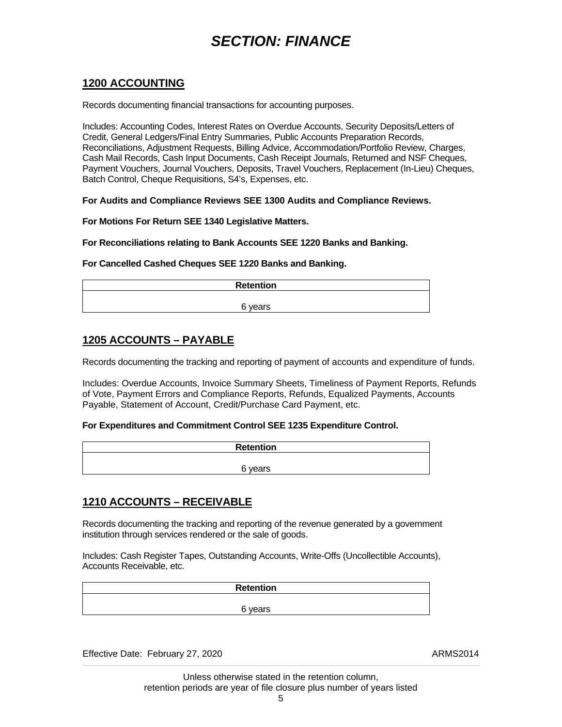### <span id="page-8-0"></span>**1200 ACCOUNTING**

Records documenting financial transactions for accounting purposes.

Includes: Accounting Codes, Interest Rates on Overdue Accounts, Security Deposits/Letters of Credit, General Ledgers/Final Entry Summaries, Public Accounts Preparation Records, Reconciliations, Adjustment Requests, Billing Advice, Accommodation/Portfolio Review, Charges, Cash Mail Records, Cash Input Documents, Cash Receipt Journals, Returned and NSF Cheques, Payment Vouchers, Journal Vouchers, Deposits, Travel Vouchers, Replacement (In-Lieu) Cheques, Batch Control, Cheque Requisitions, S4's, Expenses, etc.

**For Audits and Compliance Reviews SEE 1300 Audits and Compliance Reviews.** 

**For Motions For Return SEE 1340 Legislative Matters.** 

**For Reconciliations relating to Bank Accounts SEE 1220 Banks and Banking.** 

**For Cancelled Cashed Cheques SEE 1220 Banks and Banking.** 

| <b>Retention</b> |  |
|------------------|--|
| 6 years          |  |
|                  |  |

### **1205 ACCOUNTS – PAYABLE**

Records documenting the tracking and reporting of payment of accounts and expenditure of funds.

Includes: Overdue Accounts, Invoice Summary Sheets, Timeliness of Payment Reports, Refunds of Vote, Payment Errors and Compliance Reports, Refunds, Equalized Payments, Accounts Payable, Statement of Account, Credit/Purchase Card Payment, etc.

#### **For Expenditures and Commitment Control SEE 1235 Expenditure Control.**

| Retention |  |
|-----------|--|
|           |  |
| 6 years   |  |

### **1210 ACCOUNTS – RECEIVABLE**

Records documenting the tracking and reporting of the revenue generated by a government institution through services rendered or the sale of goods.

Includes: Cash Register Tapes, Outstanding Accounts, Write-Offs (Uncollectible Accounts), Accounts Receivable, etc.

| <b>Retention</b> |  |
|------------------|--|
|                  |  |
| 6 years          |  |

Effective Date: February 27, 2020 ARMS2014

 Unless otherwise stated in the retention column, retention periods are year of file closure plus number of years listed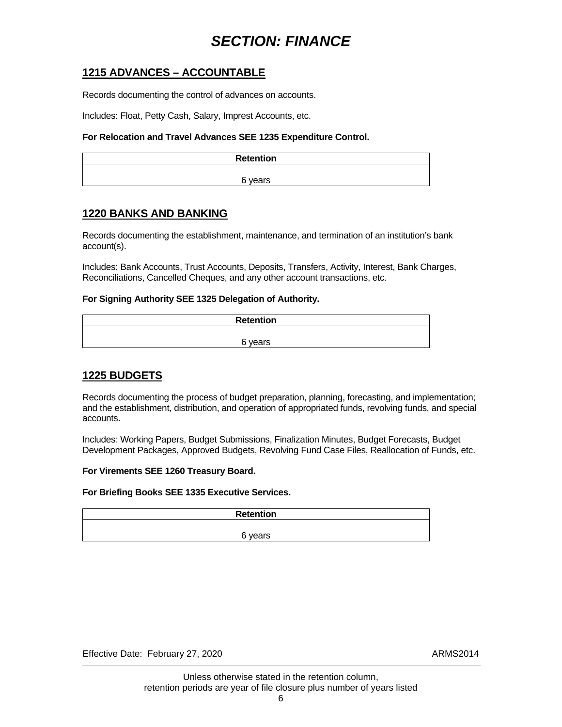### <span id="page-9-0"></span>**1215 ADVANCES – ACCOUNTABLE**

Records documenting the control of advances on accounts.

Includes: Float, Petty Cash, Salary, Imprest Accounts, etc.

#### **For Relocation and Travel Advances SEE 1235 Expenditure Control.**

| <b>Retention</b> |
|------------------|
|                  |
| 6 years          |

### **1220 BANKS AND BANKING**

Records documenting the establishment, maintenance, and termination of an institution's bank account(s).

Includes: Bank Accounts, Trust Accounts, Deposits, Transfers, Activity, Interest, Bank Charges, Reconciliations, Cancelled Cheques, and any other account transactions, etc.

#### **For Signing Authority SEE 1325 Delegation of Authority.**

| Retention |  |
|-----------|--|
|           |  |
| 6 years   |  |

### **1225 BUDGETS**

Records documenting the process of budget preparation, planning, forecasting, and implementation; and the establishment, distribution, and operation of appropriated funds, revolving funds, and special accounts.

Includes: Working Papers, Budget Submissions, Finalization Minutes, Budget Forecasts, Budget Development Packages, Approved Budgets, Revolving Fund Case Files, Reallocation of Funds, etc.

#### **For Virements SEE 1260 Treasury Board.**

#### **For Briefing Books SEE 1335 Executive Services.**

| <b>Retention</b> |  |
|------------------|--|
|                  |  |
| 6 years          |  |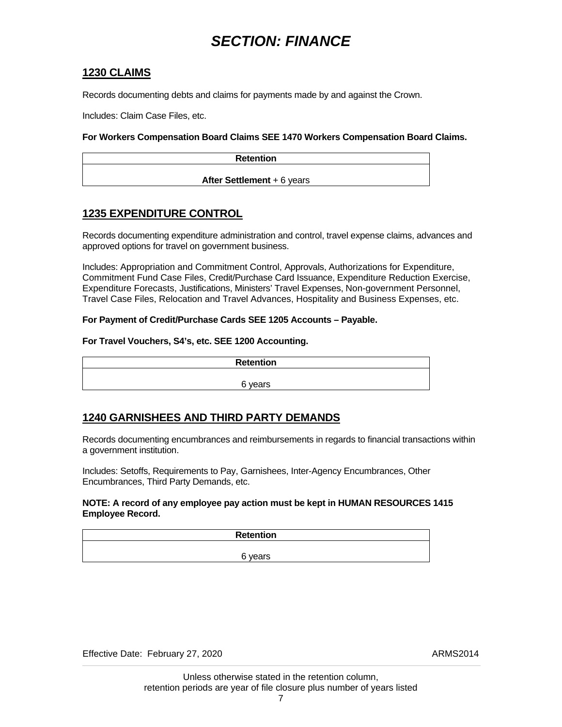#### <span id="page-10-0"></span>**1230 CLAIMS**

Records documenting debts and claims for payments made by and against the Crown.

Includes: Claim Case Files, etc.

#### **For Workers Compensation Board Claims SEE 1470 Workers Compensation Board Claims.**

| <b>Retention</b>                  |  |
|-----------------------------------|--|
|                                   |  |
| <b>After Settlement + 6 years</b> |  |

### **1235 EXPENDITURE CONTROL**

Records documenting expenditure administration and control, travel expense claims, advances and approved options for travel on government business.

Includes: Appropriation and Commitment Control, Approvals, Authorizations for Expenditure, Commitment Fund Case Files, Credit/Purchase Card Issuance, Expenditure Reduction Exercise, Expenditure Forecasts, Justifications, Ministers' Travel Expenses, Non-government Personnel, Travel Case Files, Relocation and Travel Advances, Hospitality and Business Expenses, etc.

#### **For Payment of Credit/Purchase Cards SEE 1205 Accounts – Payable.**

#### **For Travel Vouchers, S4's, etc. SEE 1200 Accounting.**

| <b>Retention</b> |  |
|------------------|--|
|                  |  |
| 6 years          |  |

### **1240 GARNISHEES AND THIRD PARTY DEMANDS**

Records documenting encumbrances and reimbursements in regards to financial transactions within a government institution.

Includes: Setoffs, Requirements to Pay, Garnishees, Inter-Agency Encumbrances, Other Encumbrances, Third Party Demands, etc.

#### **NOTE: A record of any employee pay action must be kept in HUMAN RESOURCES 1415 Employee Record.**

| <b>Retention</b> |
|------------------|
|                  |
| 6 years          |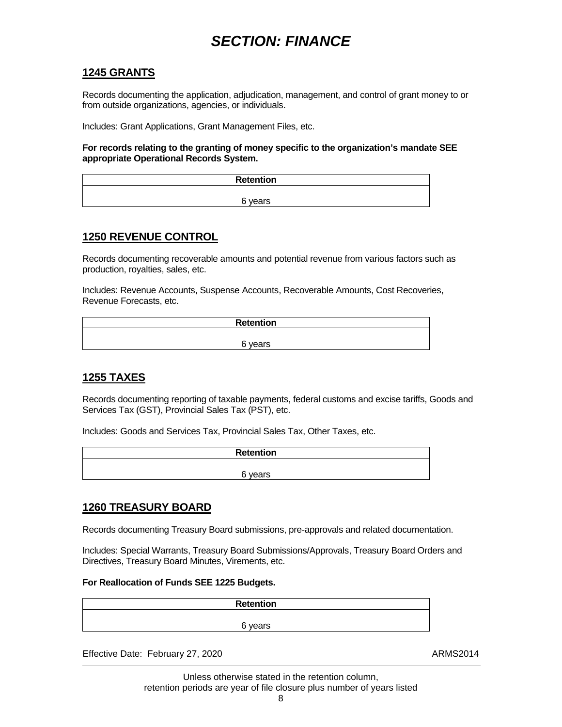#### <span id="page-11-0"></span>**1245 GRANTS**

Records documenting the application, adjudication, management, and control of grant money to or from outside organizations, agencies, or individuals.

Includes: Grant Applications, Grant Management Files, etc.

**For records relating to the granting of money specific to the organization's mandate SEE appropriate Operational Records System.** 

| Retention |
|-----------|
|           |
| 6 years   |

#### **1250 REVENUE CONTROL**

Records documenting recoverable amounts and potential revenue from various factors such as production, royalties, sales, etc.

Includes: Revenue Accounts, Suspense Accounts, Recoverable Amounts, Cost Recoveries, Revenue Forecasts, etc.

| <b>Retention</b> |  |
|------------------|--|
|                  |  |
| 6 years          |  |

### **1255 TAXES**

Records documenting reporting of taxable payments, federal customs and excise tariffs, Goods and Services Tax (GST), Provincial Sales Tax (PST), etc.

Includes: Goods and Services Tax, Provincial Sales Tax, Other Taxes, etc.

| <b>Retention</b> |
|------------------|
|                  |
| 6 years          |

#### **1260 TREASURY BOARD**

Records documenting Treasury Board submissions, pre-approvals and related documentation.

Includes: Special Warrants, Treasury Board Submissions/Approvals, Treasury Board Orders and Directives, Treasury Board Minutes, Virements, etc.

#### **For Reallocation of Funds SEE 1225 Budgets.**

| <b>Retention</b> |  |
|------------------|--|
|                  |  |
| 6 years          |  |

Effective Date: February 27, 2020 ARMS2014

 Unless otherwise stated in the retention column, retention periods are year of file closure plus number of years listed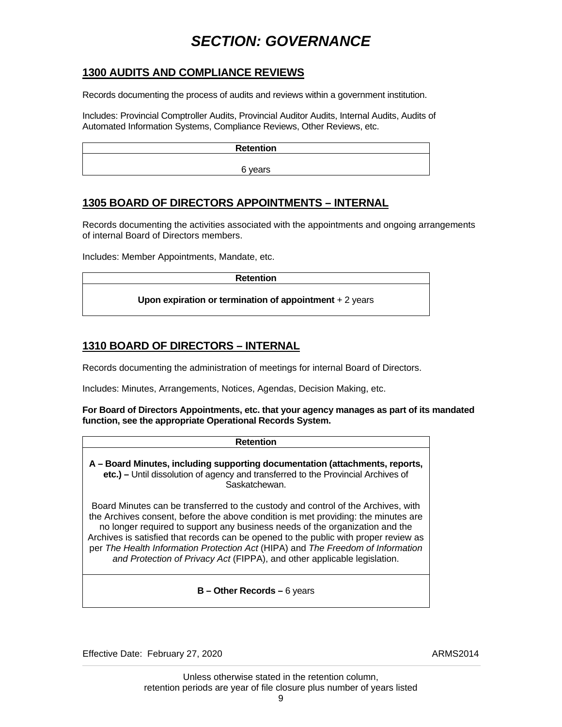### <span id="page-12-0"></span>**1300 AUDITS AND COMPLIANCE REVIEWS**

Records documenting the process of audits and reviews within a government institution.

Includes: Provincial Comptroller Audits, Provincial Auditor Audits, Internal Audits, Audits of Automated Information Systems, Compliance Reviews, Other Reviews, etc.

| <b>Retention</b> |  |
|------------------|--|
| 6 years          |  |

### **1305 BOARD OF DIRECTORS APPOINTMENTS – INTERNAL**

Records documenting the activities associated with the appointments and ongoing arrangements of internal Board of Directors members.

Includes: Member Appointments, Mandate, etc.

| <b>Retention</b>                                         |  |
|----------------------------------------------------------|--|
| Upon expiration or termination of appointment $+2$ years |  |

### **1310 BOARD OF DIRECTORS – INTERNAL**

Records documenting the administration of meetings for internal Board of Directors.

Includes: Minutes, Arrangements, Notices, Agendas, Decision Making, etc.

#### **For Board of Directors Appointments, etc. that your agency manages as part of its mandated function, see the appropriate Operational Records System.**

| Retention                                                                                                                                                                                                                                                                                                                                                                                                                                                                                                      |
|----------------------------------------------------------------------------------------------------------------------------------------------------------------------------------------------------------------------------------------------------------------------------------------------------------------------------------------------------------------------------------------------------------------------------------------------------------------------------------------------------------------|
| A - Board Minutes, including supporting documentation (attachments, reports,<br>etc.) – Until dissolution of agency and transferred to the Provincial Archives of<br>Saskatchewan.                                                                                                                                                                                                                                                                                                                             |
| Board Minutes can be transferred to the custody and control of the Archives, with<br>the Archives consent, before the above condition is met providing: the minutes are<br>no longer required to support any business needs of the organization and the<br>Archives is satisfied that records can be opened to the public with proper review as<br>per The Health Information Protection Act (HIPA) and The Freedom of Information<br>and Protection of Privacy Act (FIPPA), and other applicable legislation. |
| $B -$ Other Records – 6 years                                                                                                                                                                                                                                                                                                                                                                                                                                                                                  |

Effective Date: February 27, 2020 ARMS2014

 Unless otherwise stated in the retention column, retention periods are year of file closure plus number of years listed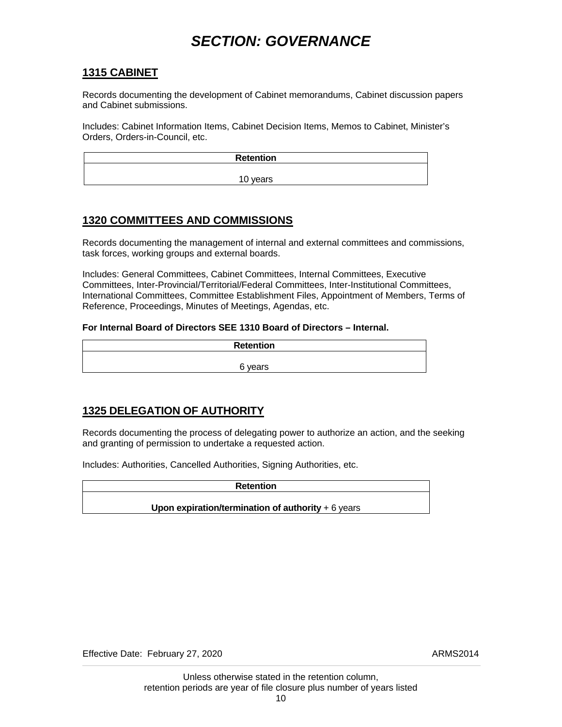### <span id="page-13-0"></span>**1315 CABINET**

Records documenting the development of Cabinet memorandums, Cabinet discussion papers and Cabinet submissions.

Includes: Cabinet Information Items, Cabinet Decision Items, Memos to Cabinet, Minister's Orders, Orders-in-Council, etc.

| Retention |  |
|-----------|--|
| 10 years  |  |
|           |  |

### **1320 COMMITTEES AND COMMISSIONS**

Records documenting the management of internal and external committees and commissions, task forces, working groups and external boards.

Includes: General Committees, Cabinet Committees, Internal Committees, Executive Committees, Inter-Provincial/Territorial/Federal Committees, Inter-Institutional Committees, International Committees, Committee Establishment Files, Appointment of Members, Terms of Reference, Proceedings, Minutes of Meetings, Agendas, etc.

#### **For Internal Board of Directors SEE 1310 Board of Directors – Internal.**

| <b>Retention</b> |  |
|------------------|--|
| 6 years          |  |

## **1325 DELEGATION OF AUTHORITY**

Records documenting the process of delegating power to authorize an action, and the seeking and granting of permission to undertake a requested action.

Includes: Authorities, Cancelled Authorities, Signing Authorities, etc.

**Retention** 

**Upon expiration/termination of authority** + 6 years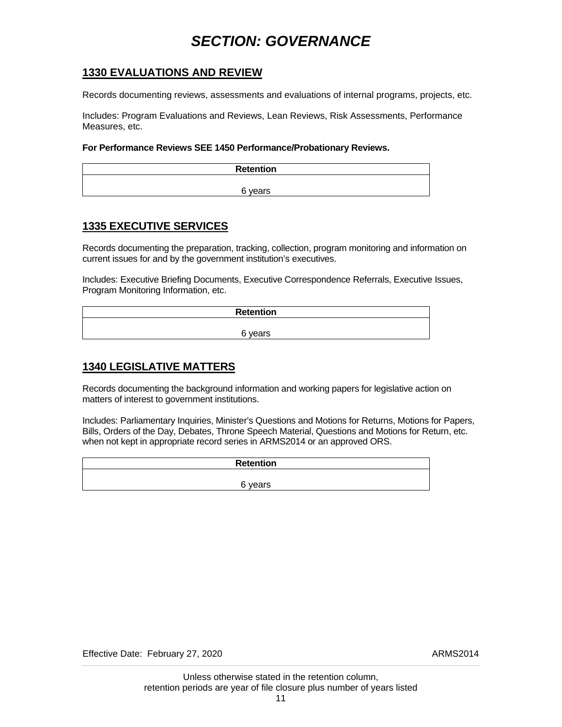### <span id="page-14-0"></span>**1330 EVALUATIONS AND REVIEW**

Records documenting reviews, assessments and evaluations of internal programs, projects, etc.

Includes: Program Evaluations and Reviews, Lean Reviews, Risk Assessments, Performance Measures, etc.

#### **For Performance Reviews SEE 1450 Performance/Probationary Reviews.**

| Retention |
|-----------|
|           |
| 6 years   |

### **1335 EXECUTIVE SERVICES**

Records documenting the preparation, tracking, collection, program monitoring and information on current issues for and by the government institution's executives.

Includes: Executive Briefing Documents, Executive Correspondence Referrals, Executive Issues, Program Monitoring Information, etc.

| <b>Retention</b> |  |
|------------------|--|
|                  |  |
| 6 years          |  |

### **1340 LEGISLATIVE MATTERS**

Records documenting the background information and working papers for legislative action on matters of interest to government institutions.

Includes: Parliamentary Inquiries, Minister's Questions and Motions for Returns, Motions for Papers, Bills, Orders of the Day, Debates, Throne Speech Material, Questions and Motions for Return, etc. when not kept in appropriate record series in ARMS2014 or an approved ORS.

| <b>Retention</b> |  |
|------------------|--|
|                  |  |
| 6 years          |  |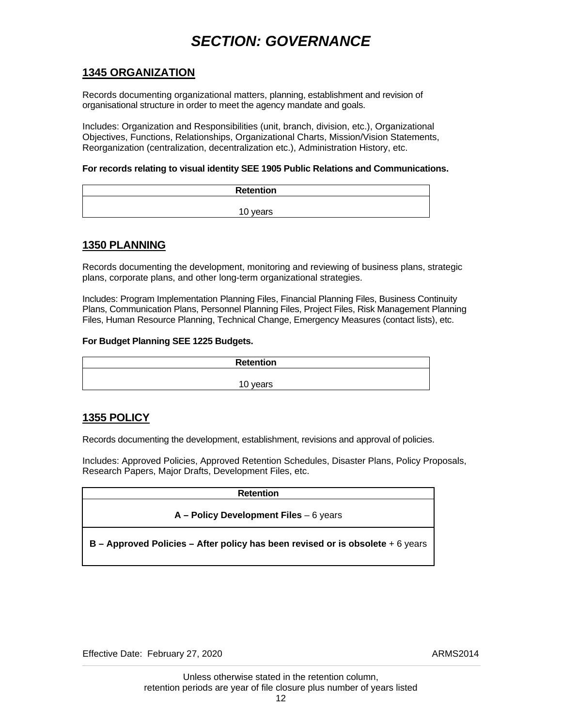### <span id="page-15-0"></span>**1345 ORGANIZATION**

Records documenting organizational matters, planning, establishment and revision of organisational structure in order to meet the agency mandate and goals.

Includes: Organization and Responsibilities (unit, branch, division, etc.), Organizational Objectives, Functions, Relationships, Organizational Charts, Mission/Vision Statements, Reorganization (centralization, decentralization etc.), Administration History, etc.

#### **For records relating to visual identity SEE 1905 Public Relations and Communications.**

| Retention |
|-----------|
|           |
| 10 years  |

#### **1350 PLANNING**

Records documenting the development, monitoring and reviewing of business plans, strategic plans, corporate plans, and other long-term organizational strategies.

Includes: Program Implementation Planning Files, Financial Planning Files, Business Continuity Plans, Communication Plans, Personnel Planning Files, Project Files, Risk Management Planning Files, Human Resource Planning, Technical Change, Emergency Measures (contact lists), etc.

#### **For Budget Planning SEE 1225 Budgets.**

| <b>Retention</b> |  |
|------------------|--|
| 10 years         |  |

#### **1355 POLICY**

Records documenting the development, establishment, revisions and approval of policies.

Includes: Approved Policies, Approved Retention Schedules, Disaster Plans, Policy Proposals, Research Papers, Major Drafts, Development Files, etc.

#### **Retention**

#### **A – Policy Development Files** – 6 years

**B – Approved Policies – After policy has been revised or is obsolete** + 6 years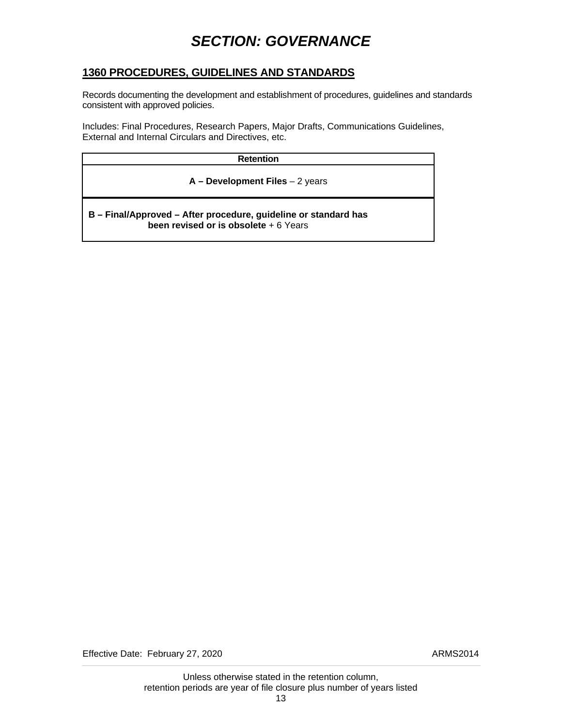### <span id="page-16-0"></span>**1360 PROCEDURES, GUIDELINES AND STANDARDS**

Records documenting the development and establishment of procedures, guidelines and standards consistent with approved policies.

Includes: Final Procedures, Research Papers, Major Drafts, Communications Guidelines, External and Internal Circulars and Directives, etc.

| <b>Retention</b>                                                                                          |  |
|-----------------------------------------------------------------------------------------------------------|--|
| $A - Development Files - 2 years$                                                                         |  |
| B - Final/Approved - After procedure, guideline or standard has<br>been revised or is obsolete $+6$ Years |  |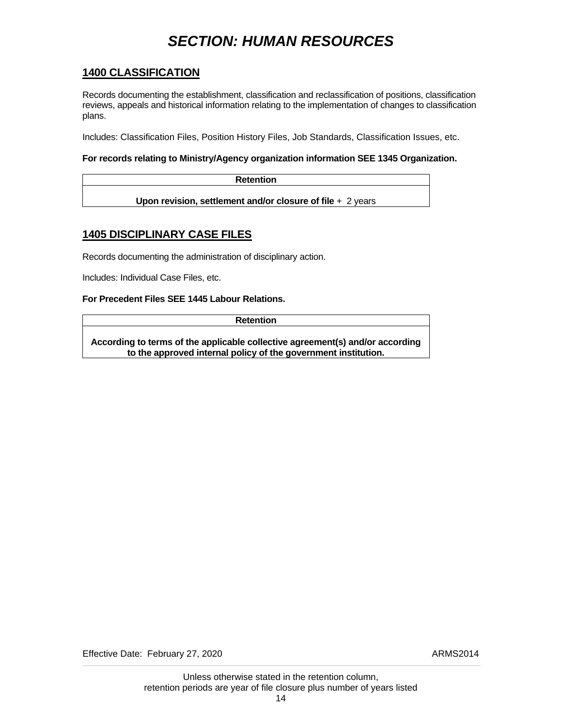### <span id="page-17-0"></span>**1400 CLASSIFICATION**

Records documenting the establishment, classification and reclassification of positions, classification reviews, appeals and historical information relating to the implementation of changes to classification plans.

Includes: Classification Files, Position History Files, Job Standards, Classification Issues, etc.

#### **For records relating to Ministry/Agency organization information SEE 1345 Organization.**

| <b>Retention</b>                                            |  |
|-------------------------------------------------------------|--|
| Upon revision, settlement and/or closure of file $+2$ years |  |

### **1405 DISCIPLINARY CASE FILES**

Records documenting the administration of disciplinary action.

Includes: Individual Case Files, etc.

#### **For Precedent Files SEE 1445 Labour Relations.**

**Retention** 

**According to terms of the applicable collective agreement(s) and/or according to the approved internal policy of the government institution.**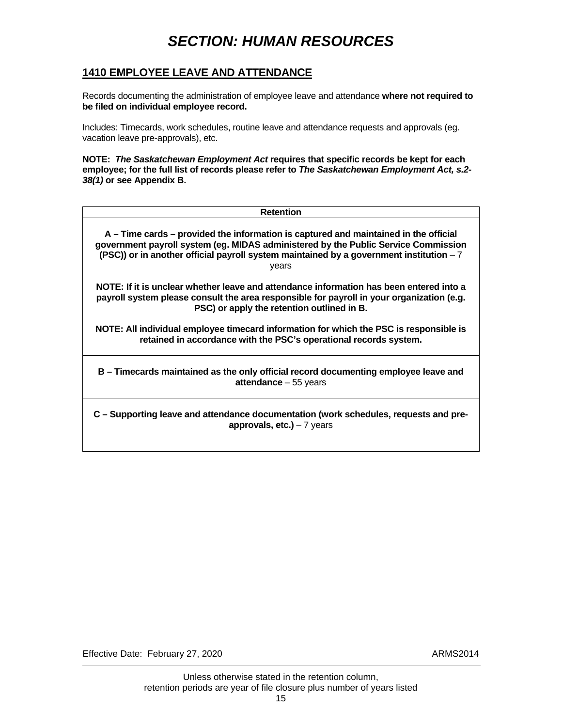### <span id="page-18-0"></span>**1410 EMPLOYEE LEAVE AND ATTENDANCE**

Records documenting the administration of employee leave and attendance **where not required to be filed on individual employee record.** 

Includes: Timecards, work schedules, routine leave and attendance requests and approvals (eg. vacation leave pre-approvals), etc.

**NOTE:** *The Saskatchewan Employment Act* **requires that specific records be kept for each employee; for the full list of records please refer to** *The Saskatchewan Employment Act, s.2- 38(1)* **or see Appendix B.**

| <b>Retention</b>                                                                                                                                                                                                                                                               |  |
|--------------------------------------------------------------------------------------------------------------------------------------------------------------------------------------------------------------------------------------------------------------------------------|--|
| A – Time cards – provided the information is captured and maintained in the official<br>government payroll system (eg. MIDAS administered by the Public Service Commission<br>(PSC)) or in another official payroll system maintained by a government institution - 7<br>years |  |
| NOTE: If it is unclear whether leave and attendance information has been entered into a<br>payroll system please consult the area responsible for payroll in your organization (e.g.<br>PSC) or apply the retention outlined in B.                                             |  |
| NOTE: All individual employee timecard information for which the PSC is responsible is<br>retained in accordance with the PSC's operational records system.                                                                                                                    |  |
| B – Timecards maintained as the only official record documenting employee leave and<br>attendance $-55$ years                                                                                                                                                                  |  |
| C – Supporting leave and attendance documentation (work schedules, requests and pre-<br>approvals, $etc.$ ) - 7 years                                                                                                                                                          |  |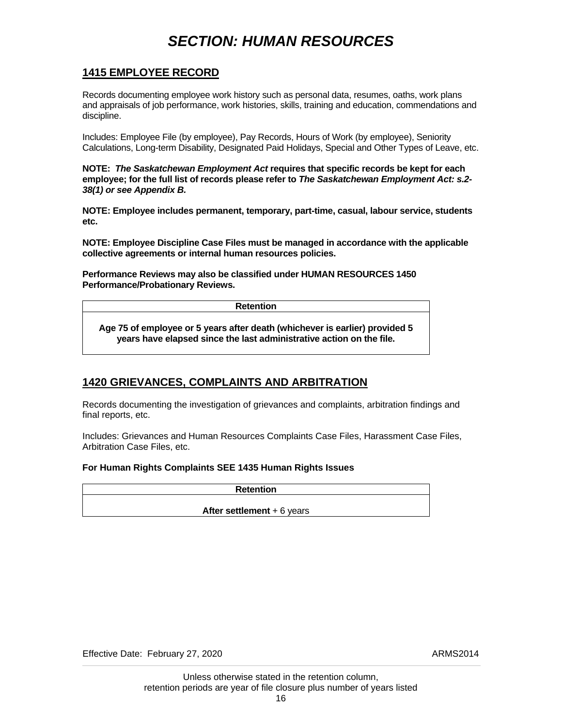#### <span id="page-19-0"></span>**1415 EMPLOYEE RECORD**

Records documenting employee work history such as personal data, resumes, oaths, work plans and appraisals of job performance, work histories, skills, training and education, commendations and discipline.

Includes: Employee File (by employee), Pay Records, Hours of Work (by employee), Seniority Calculations, Long-term Disability, Designated Paid Holidays, Special and Other Types of Leave, etc.

**NOTE:** *The Saskatchewan Employment Act* **requires that specific records be kept for each employee; for the full list of records please refer to** *The Saskatchewan Employment Act: s.2- 38(1) or see Appendix B.*

**NOTE: Employee includes permanent, temporary, part-time, casual, labour service, students etc.**

**NOTE: Employee Discipline Case Files must be managed in accordance with the applicable collective agreements or internal human resources policies.** 

**Performance Reviews may also be classified under HUMAN RESOURCES 1450 Performance/Probationary Reviews.** 

**Retention** 

**Age 75 of employee or 5 years after death (whichever is earlier) provided 5 years have elapsed since the last administrative action on the file.** 

## **1420 GRIEVANCES, COMPLAINTS AND ARBITRATION**

Records documenting the investigation of grievances and complaints, arbitration findings and final reports, etc.

Includes: Grievances and Human Resources Complaints Case Files, Harassment Case Files, Arbitration Case Files, etc.

#### **For Human Rights Complaints SEE 1435 Human Rights Issues**

| <b>Retention</b>                   |  |
|------------------------------------|--|
|                                    |  |
| <b>After settlement</b> $+6$ years |  |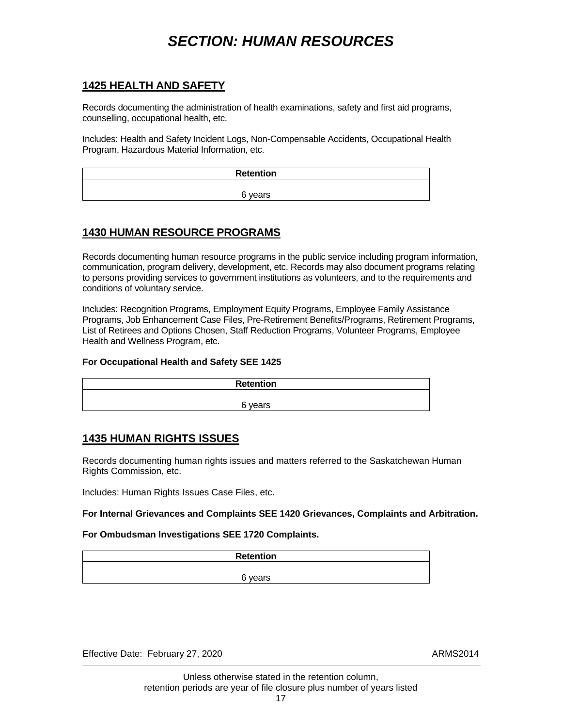### <span id="page-20-0"></span>**1425 HEALTH AND SAFETY**

Records documenting the administration of health examinations, safety and first aid programs, counselling, occupational health, etc.

Includes: Health and Safety Incident Logs, Non-Compensable Accidents, Occupational Health Program, Hazardous Material Information, etc.

| <b>Retention</b> |  |
|------------------|--|
| 6 years          |  |

### **1430 HUMAN RESOURCE PROGRAMS**

Records documenting human resource programs in the public service including program information, communication, program delivery, development, etc. Records may also document programs relating to persons providing services to government institutions as volunteers, and to the requirements and conditions of voluntary service.

Includes: Recognition Programs, Employment Equity Programs, Employee Family Assistance Programs, Job Enhancement Case Files, Pre-Retirement Benefits/Programs, Retirement Programs, List of Retirees and Options Chosen, Staff Reduction Programs, Volunteer Programs, Employee Health and Wellness Program, etc.

#### **For Occupational Health and Safety SEE 1425**

| <b>Retention</b>  |  |
|-------------------|--|
|                   |  |
| R vaare<br>reai S |  |

### **1435 HUMAN RIGHTS ISSUES**

Records documenting human rights issues and matters referred to the Saskatchewan Human Rights Commission, etc.

Includes: Human Rights Issues Case Files, etc.

#### **For Internal Grievances and Complaints SEE 1420 Grievances, Complaints and Arbitration.**

#### **For Ombudsman Investigations SEE 1720 Complaints.**

| <b>Retention</b> |  |
|------------------|--|
|                  |  |
| 6 years          |  |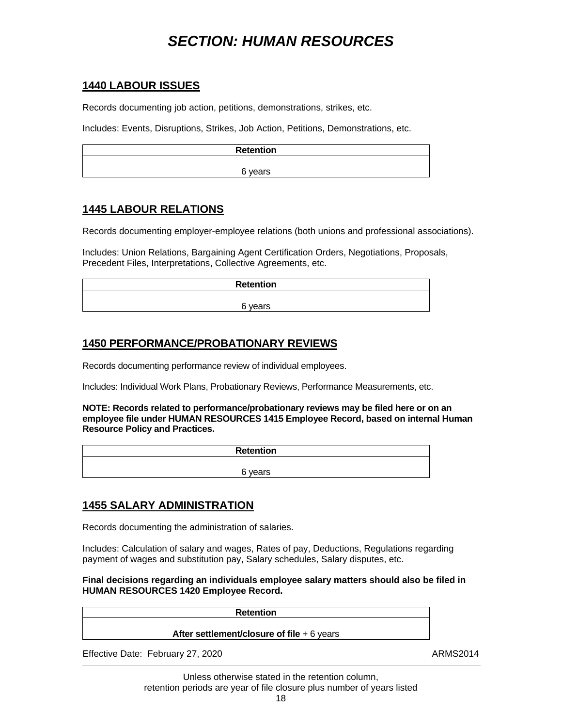### <span id="page-21-0"></span>**1440 LABOUR ISSUES**

Records documenting job action, petitions, demonstrations, strikes, etc.

Includes: Events, Disruptions, Strikes, Job Action, Petitions, Demonstrations, etc.

| <b>Retention</b> |
|------------------|
|                  |
| 6 years          |

### **1445 LABOUR RELATIONS**

Records documenting employer-employee relations (both unions and professional associations).

Includes: Union Relations, Bargaining Agent Certification Orders, Negotiations, Proposals, Precedent Files, Interpretations, Collective Agreements, etc.

| <b>Retention</b> |  |
|------------------|--|
|                  |  |
| 6 years          |  |

### **1450 PERFORMANCE/PROBATIONARY REVIEWS**

Records documenting performance review of individual employees.

Includes: Individual Work Plans, Probationary Reviews, Performance Measurements, etc.

**NOTE: Records related to performance/probationary reviews may be filed here or on an employee file under HUMAN RESOURCES 1415 Employee Record, based on internal Human Resource Policy and Practices.** 

| <b>Retention</b> |  |
|------------------|--|
|                  |  |
| 6 years          |  |

### **1455 SALARY ADMINISTRATION**

Records documenting the administration of salaries.

Includes: Calculation of salary and wages, Rates of pay, Deductions, Regulations regarding payment of wages and substitution pay, Salary schedules, Salary disputes, etc.

**Final decisions regarding an individuals employee salary matters should also be filed in HUMAN RESOURCES 1420 Employee Record.** 

| <b>Retention</b>                            |          |
|---------------------------------------------|----------|
| After settlement/closure of file $+6$ years |          |
| Effective Date: February 27, 2020           | ARMS2014 |

 Unless otherwise stated in the retention column, retention periods are year of file closure plus number of years listed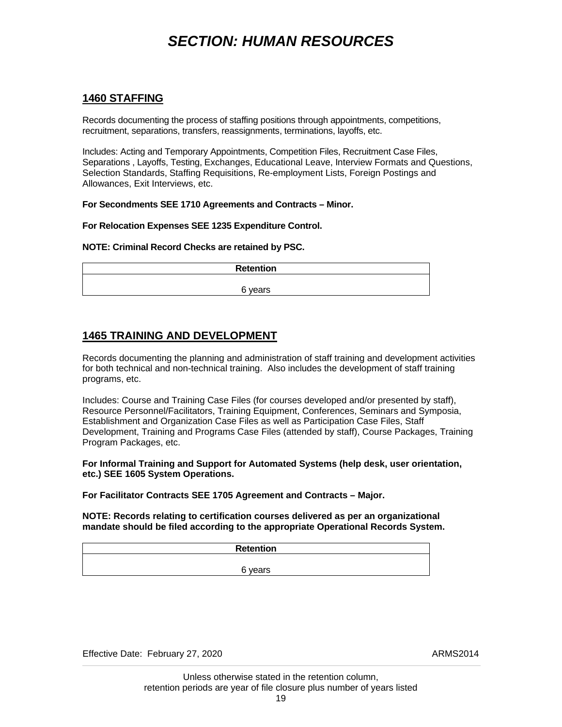#### <span id="page-22-0"></span>**1460 STAFFING**

Records documenting the process of staffing positions through appointments, competitions, recruitment, separations, transfers, reassignments, terminations, layoffs, etc.

Includes: Acting and Temporary Appointments, Competition Files, Recruitment Case Files, Separations , Layoffs, Testing, Exchanges, Educational Leave, Interview Formats and Questions, Selection Standards, Staffing Requisitions, Re-employment Lists, Foreign Postings and Allowances, Exit Interviews, etc.

**For Secondments SEE 1710 Agreements and Contracts – Minor.** 

#### **For Relocation Expenses SEE 1235 Expenditure Control.**

#### **NOTE: Criminal Record Checks are retained by PSC.**

| <b>Retention</b> |  |
|------------------|--|
|                  |  |
| 6 years          |  |

#### **1465 TRAINING AND DEVELOPMENT**

Records documenting the planning and administration of staff training and development activities for both technical and non-technical training. Also includes the development of staff training programs, etc.

Includes: Course and Training Case Files (for courses developed and/or presented by staff), Resource Personnel/Facilitators, Training Equipment, Conferences, Seminars and Symposia, Establishment and Organization Case Files as well as Participation Case Files, Staff Development, Training and Programs Case Files (attended by staff), Course Packages, Training Program Packages, etc.

#### **For Informal Training and Support for Automated Systems (help desk, user orientation, etc.) SEE 1605 System Operations.**

**For Facilitator Contracts SEE 1705 Agreement and Contracts – Major.** 

**NOTE: Records relating to certification courses delivered as per an organizational mandate should be filed according to the appropriate Operational Records System.** 

| Retention |  |
|-----------|--|
|           |  |
| 6 years   |  |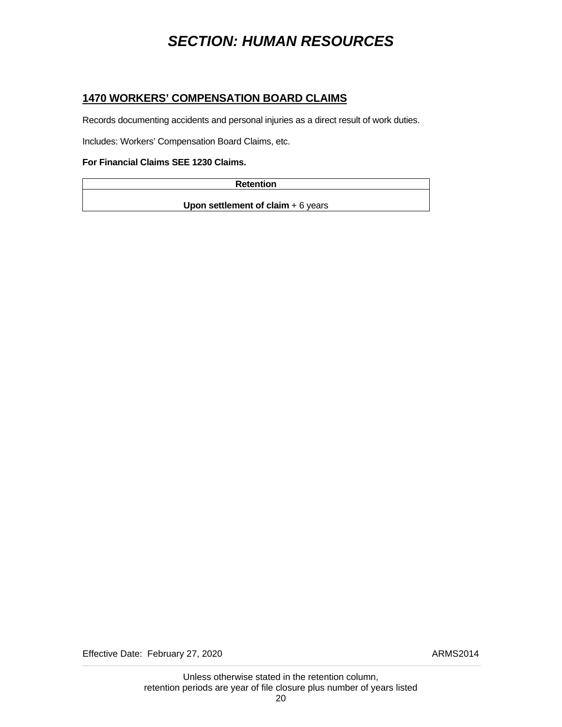#### <span id="page-23-0"></span>**1470 WORKERS' COMPENSATION BOARD CLAIMS**

Records documenting accidents and personal injuries as a direct result of work duties.

Includes: Workers' Compensation Board Claims, etc.

#### **For Financial Claims SEE 1230 Claims.**

| <b>Retention</b> |
|------------------|
|                  |

**Upon settlement of claim + 6 years**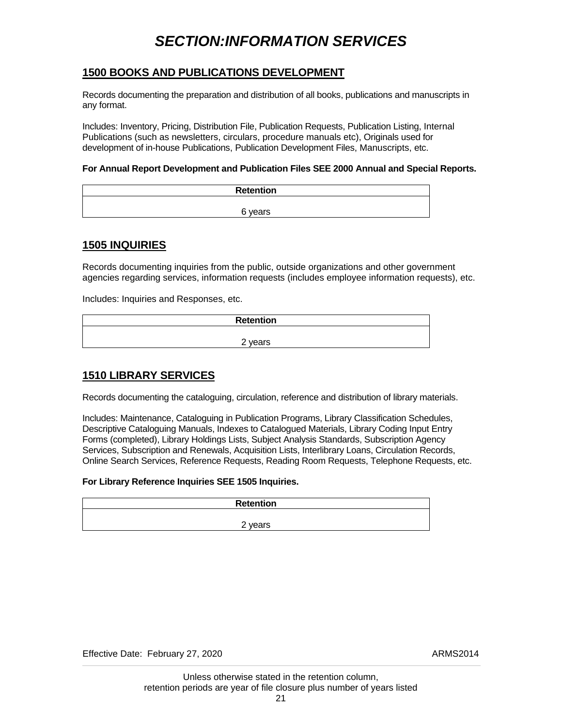## *SECTION:INFORMATION SERVICES*

#### <span id="page-24-0"></span>**1500 BOOKS AND PUBLICATIONS DEVELOPMENT**

Records documenting the preparation and distribution of all books, publications and manuscripts in any format.

Includes: Inventory, Pricing, Distribution File, Publication Requests, Publication Listing, Internal Publications (such as newsletters, circulars, procedure manuals etc), Originals used for development of in-house Publications, Publication Development Files, Manuscripts, etc.

#### **For Annual Report Development and Publication Files SEE 2000 Annual and Special Reports.**

| Retention |
|-----------|
|           |
| 6 years   |

#### **1505 INQUIRIES**

Records documenting inquiries from the public, outside organizations and other government agencies regarding services, information requests (includes employee information requests), etc.

Includes: Inquiries and Responses, etc.

| <b>Retention</b>        |  |
|-------------------------|--|
|                         |  |
| C.<br>years<br><u>_</u> |  |

### **1510 LIBRARY SERVICES**

Records documenting the cataloguing, circulation, reference and distribution of library materials.

Includes: Maintenance, Cataloguing in Publication Programs, Library Classification Schedules, Descriptive Cataloguing Manuals, Indexes to Catalogued Materials, Library Coding Input Entry Forms (completed), Library Holdings Lists, Subject Analysis Standards, Subscription Agency Services, Subscription and Renewals, Acquisition Lists, Interlibrary Loans, Circulation Records, Online Search Services, Reference Requests, Reading Room Requests, Telephone Requests, etc.

#### **For Library Reference Inquiries SEE 1505 Inquiries.**

| <b>Retention</b> |  |
|------------------|--|
|                  |  |
| ⌒<br>vears<br>∼  |  |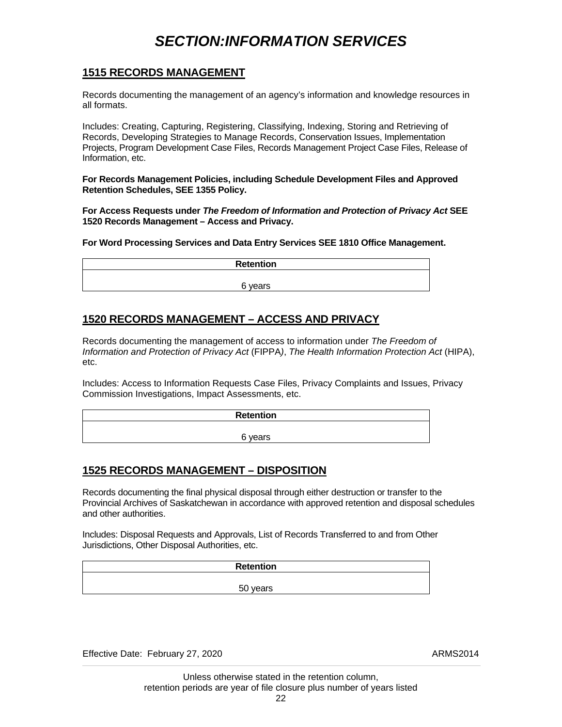## *SECTION:INFORMATION SERVICES*

#### <span id="page-25-0"></span>**1515 RECORDS MANAGEMENT**

Records documenting the management of an agency's information and knowledge resources in all formats.

Includes: Creating, Capturing, Registering, Classifying, Indexing, Storing and Retrieving of Records, Developing Strategies to Manage Records, Conservation Issues, Implementation Projects, Program Development Case Files, Records Management Project Case Files, Release of Information, etc.

**For Records Management Policies, including Schedule Development Files and Approved Retention Schedules, SEE 1355 Policy.** 

**For Access Requests under** *The Freedom of Information and Protection of Privacy Act* **SEE 1520 Records Management – Access and Privacy.** 

**For Word Processing Services and Data Entry Services SEE 1810 Office Management.** 

| <b>Retention</b> |
|------------------|
| 6 years          |
|                  |

### **1520 RECORDS MANAGEMENT – ACCESS AND PRIVACY**

Records documenting the management of access to information under *The Freedom of Information and Protection of Privacy Act* (FIPPA*)*, *The Health Information Protection Act* (HIPA), etc.

Includes: Access to Information Requests Case Files, Privacy Complaints and Issues, Privacy Commission Investigations, Impact Assessments, etc.

| <b>Retention</b> |
|------------------|
|                  |
| 6 years          |

#### **1525 RECORDS MANAGEMENT – DISPOSITION**

Records documenting the final physical disposal through either destruction or transfer to the Provincial Archives of Saskatchewan in accordance with approved retention and disposal schedules and other authorities.

Includes: Disposal Requests and Approvals, List of Records Transferred to and from Other Jurisdictions, Other Disposal Authorities, etc.

| <b>Retention</b> |
|------------------|
|                  |
| 50 years         |

Effective Date: February 27, 2020 ARMS2014

 Unless otherwise stated in the retention column, retention periods are year of file closure plus number of years listed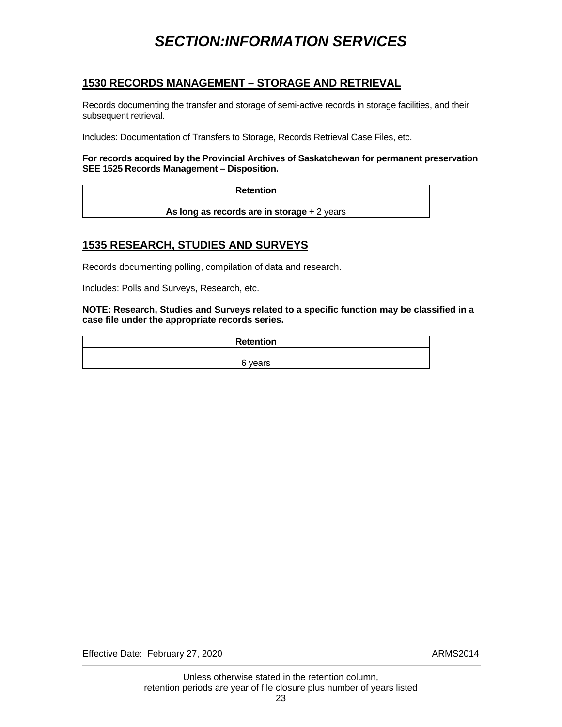## *SECTION:INFORMATION SERVICES*

### <span id="page-26-0"></span>**1530 RECORDS MANAGEMENT – STORAGE AND RETRIEVAL**

Records documenting the transfer and storage of semi-active records in storage facilities, and their subsequent retrieval.

Includes: Documentation of Transfers to Storage, Records Retrieval Case Files, etc.

#### **For records acquired by the Provincial Archives of Saskatchewan for permanent preservation SEE 1525 Records Management – Disposition.**

**Retention** 

**As long as records are in storage** + 2 years

#### **1535 RESEARCH, STUDIES AND SURVEYS**

Records documenting polling, compilation of data and research.

Includes: Polls and Surveys, Research, etc.

**NOTE: Research, Studies and Surveys related to a specific function may be classified in a case file under the appropriate records series.** 

**Retention**  6 years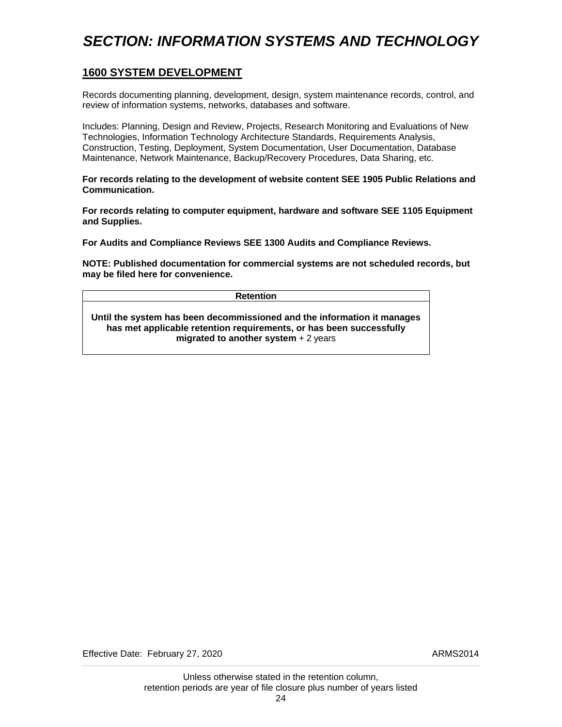## <span id="page-27-0"></span>*SECTION: INFORMATION SYSTEMS AND TECHNOLOGY*

#### **1600 SYSTEM DEVELOPMENT**

Records documenting planning, development, design, system maintenance records, control, and review of information systems, networks, databases and software.

Includes: Planning, Design and Review, Projects, Research Monitoring and Evaluations of New Technologies, Information Technology Architecture Standards, Requirements Analysis, Construction, Testing, Deployment, System Documentation, User Documentation, Database Maintenance, Network Maintenance, Backup/Recovery Procedures, Data Sharing, etc.

**For records relating to the development of website content SEE 1905 Public Relations and Communication.** 

**For records relating to computer equipment, hardware and software SEE 1105 Equipment and Supplies.** 

**For Audits and Compliance Reviews SEE 1300 Audits and Compliance Reviews.** 

**NOTE: Published documentation for commercial systems are not scheduled records, but may be filed here for convenience.** 

| <b>Retention</b>                                                        |
|-------------------------------------------------------------------------|
| Until the system has been decommissioned and the information it manages |
| has met applicable retention requirements, or has been successfully     |
| migrated to another system $+2$ years                                   |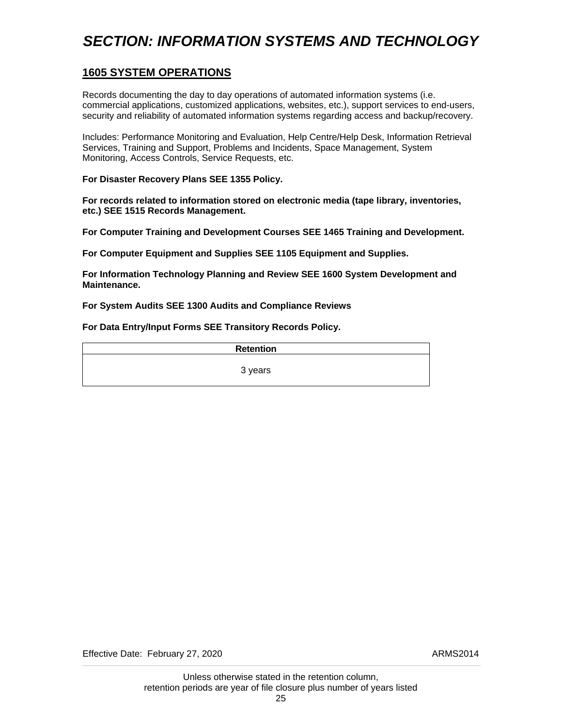## <span id="page-28-0"></span>*SECTION: INFORMATION SYSTEMS AND TECHNOLOGY*

### **1605 SYSTEM OPERATIONS**

Records documenting the day to day operations of automated information systems (i.e. commercial applications, customized applications, websites, etc.), support services to end-users, security and reliability of automated information systems regarding access and backup/recovery.

Includes: Performance Monitoring and Evaluation, Help Centre/Help Desk, Information Retrieval Services, Training and Support, Problems and Incidents, Space Management, System Monitoring, Access Controls, Service Requests, etc.

**For Disaster Recovery Plans SEE 1355 Policy.** 

**For records related to information stored on electronic media (tape library, inventories, etc.) SEE 1515 Records Management.** 

**For Computer Training and Development Courses SEE 1465 Training and Development.** 

**For Computer Equipment and Supplies SEE 1105 Equipment and Supplies.** 

**For Information Technology Planning and Review SEE 1600 System Development and Maintenance.** 

**For System Audits SEE 1300 Audits and Compliance Reviews** 

**For Data Entry/Input Forms SEE Transitory Records Policy.** 

**Retention** 

3 years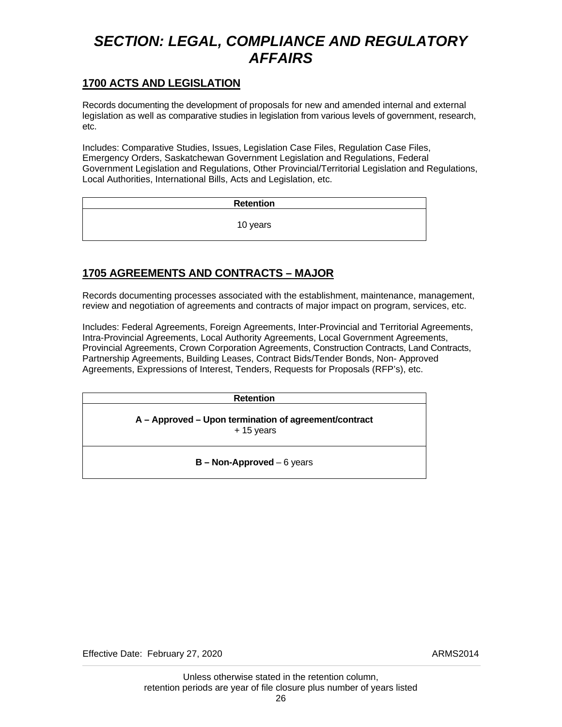#### <span id="page-29-0"></span>**1700 ACTS AND LEGISLATION**

Records documenting the development of proposals for new and amended internal and external legislation as well as comparative studies in legislation from various levels of government, research, etc.

Includes: Comparative Studies, Issues, Legislation Case Files, Regulation Case Files, Emergency Orders, Saskatchewan Government Legislation and Regulations, Federal Government Legislation and Regulations, Other Provincial/Territorial Legislation and Regulations, Local Authorities, International Bills, Acts and Legislation, etc.

> **Retention**  10 years

## **1705 AGREEMENTS AND CONTRACTS – MAJOR**

Records documenting processes associated with the establishment, maintenance, management, review and negotiation of agreements and contracts of major impact on program, services, etc.

Includes: Federal Agreements, Foreign Agreements, Inter-Provincial and Territorial Agreements, Intra-Provincial Agreements, Local Authority Agreements, Local Government Agreements, Provincial Agreements, Crown Corporation Agreements, Construction Contracts, Land Contracts, Partnership Agreements, Building Leases, Contract Bids/Tender Bonds, Non- Approved Agreements, Expressions of Interest, Tenders, Requests for Proposals (RFP's), etc.

**Retention** 

**A – Approved – Upon termination of agreement/contract**  + 15 years

**B – Non-Approved** – 6 years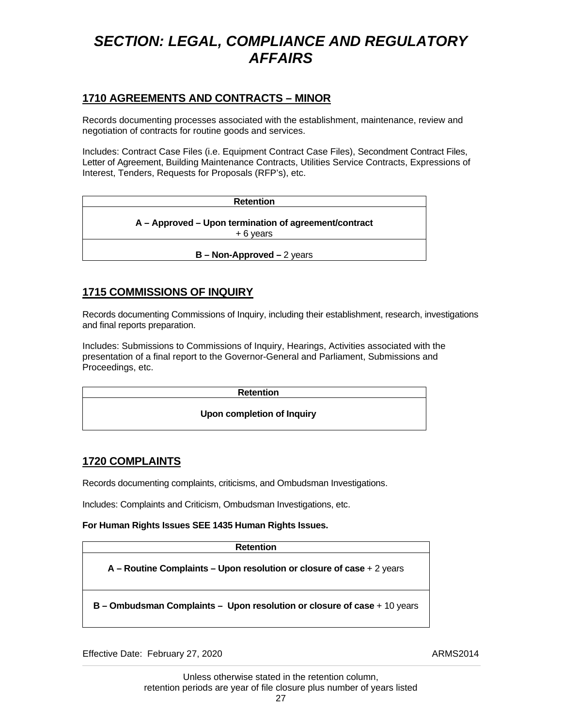### <span id="page-30-0"></span>**1710 AGREEMENTS AND CONTRACTS – MINOR**

Records documenting processes associated with the establishment, maintenance, review and negotiation of contracts for routine goods and services.

Includes: Contract Case Files (i.e. Equipment Contract Case Files), Secondment Contract Files, Letter of Agreement, Building Maintenance Contracts, Utilities Service Contracts, Expressions of Interest, Tenders, Requests for Proposals (RFP's), etc.

| <b>Retention</b>                                                    |
|---------------------------------------------------------------------|
| A - Approved - Upon termination of agreement/contract<br>$+6$ vears |
| $B - Non-Approxed - 2 years$                                        |

### **1715 COMMISSIONS OF INQUIRY**

Records documenting Commissions of Inquiry, including their establishment, research, investigations and final reports preparation.

Includes: Submissions to Commissions of Inquiry, Hearings, Activities associated with the presentation of a final report to the Governor-General and Parliament, Submissions and Proceedings, etc.

### **1720 COMPLAINTS**

Records documenting complaints, criticisms, and Ombudsman Investigations.

Includes: Complaints and Criticism, Ombudsman Investigations, etc.

#### **For Human Rights Issues SEE 1435 Human Rights Issues.**

| <b>Retention</b>                                                         |  |
|--------------------------------------------------------------------------|--|
| $A -$ Routine Complaints – Upon resolution or closure of case + 2 years  |  |
| B – Ombudsman Complaints – Upon resolution or closure of case + 10 years |  |

Effective Date: February 27, 2020 ARMS2014

 Unless otherwise stated in the retention column, retention periods are year of file closure plus number of years listed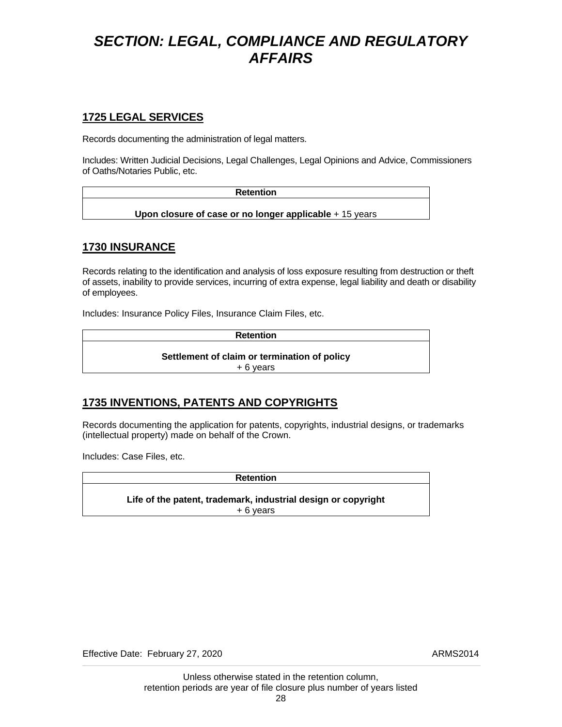### <span id="page-31-0"></span>**1725 LEGAL SERVICES**

Records documenting the administration of legal matters.

Includes: Written Judicial Decisions, Legal Challenges, Legal Opinions and Advice, Commissioners of Oaths/Notaries Public, etc.

| <b>Retention</b>                                         |  |
|----------------------------------------------------------|--|
|                                                          |  |
| Upon closure of case or no longer applicable $+15$ years |  |

### **1730 INSURANCE**

Records relating to the identification and analysis of loss exposure resulting from destruction or theft of assets, inability to provide services, incurring of extra expense, legal liability and death or disability of employees.

Includes: Insurance Policy Files, Insurance Claim Files, etc.

**Retention** 

**Settlement of claim or termination of policy**  + 6 years

## **1735 INVENTIONS, PATENTS AND COPYRIGHTS**

Records documenting the application for patents, copyrights, industrial designs, or trademarks (intellectual property) made on behalf of the Crown.

Includes: Case Files, etc.

**Retention Life of the patent, trademark, industrial design or copyright**  + 6 years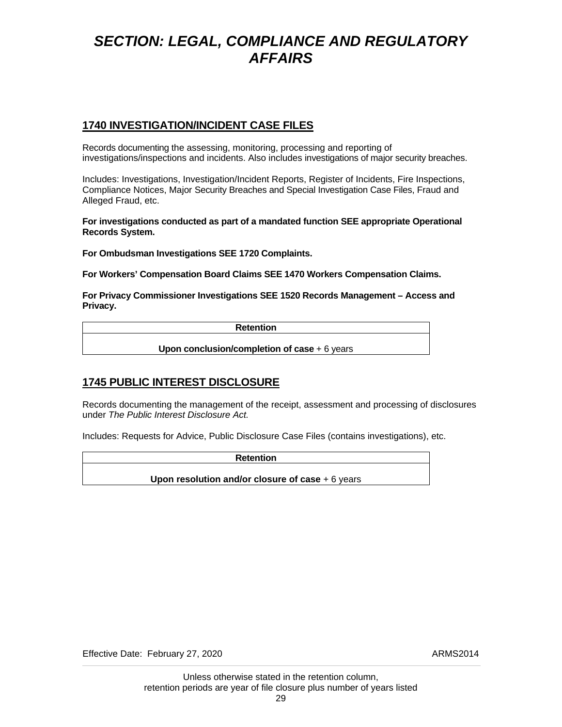### <span id="page-32-0"></span>**1740 INVESTIGATION/INCIDENT CASE FILES**

Records documenting the assessing, monitoring, processing and reporting of investigations/inspections and incidents. Also includes investigations of major security breaches.

Includes: Investigations, Investigation/Incident Reports, Register of Incidents, Fire Inspections, Compliance Notices, Major Security Breaches and Special Investigation Case Files, Fraud and Alleged Fraud, etc.

**For investigations conducted as part of a mandated function SEE appropriate Operational Records System.** 

**For Ombudsman Investigations SEE 1720 Complaints.** 

**For Workers' Compensation Board Claims SEE 1470 Workers Compensation Claims.** 

**For Privacy Commissioner Investigations SEE 1520 Records Management – Access and Privacy.** 

**Retention** 

**Upon conclusion/completion of case** + 6 years

## **1745 PUBLIC INTEREST DISCLOSURE**

Records documenting the management of the receipt, assessment and processing of disclosures under *The Public Interest Disclosure Act.* 

Includes: Requests for Advice, Public Disclosure Case Files (contains investigations), etc.

**Retention** 

**Upon resolution and/or closure of case** + 6 years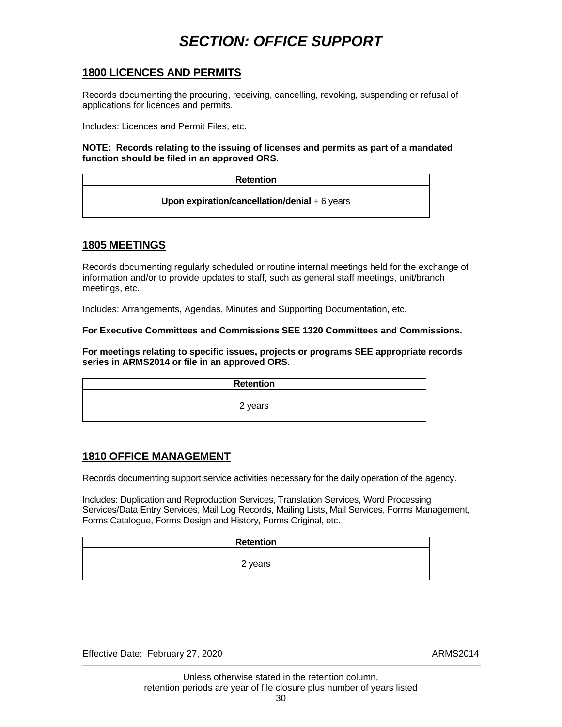## *SECTION: OFFICE SUPPORT*

#### <span id="page-33-0"></span>**1800 LICENCES AND PERMITS**

Records documenting the procuring, receiving, cancelling, revoking, suspending or refusal of applications for licences and permits.

Includes: Licences and Permit Files, etc.

**NOTE: Records relating to the issuing of licenses and permits as part of a mandated function should be filed in an approved ORS.** 

| <b>Retention</b>                               |  |
|------------------------------------------------|--|
| Upon expiration/cancellation/denial $+6$ years |  |

#### **1805 MEETINGS**

Records documenting regularly scheduled or routine internal meetings held for the exchange of information and/or to provide updates to staff, such as general staff meetings, unit/branch meetings, etc.

Includes: Arrangements, Agendas, Minutes and Supporting Documentation, etc.

**For Executive Committees and Commissions SEE 1320 Committees and Commissions.** 

**For meetings relating to specific issues, projects or programs SEE appropriate records series in ARMS2014 or file in an approved ORS.** 

| <b>Retention</b> |  |
|------------------|--|
| 2 years          |  |
|                  |  |

#### **1810 OFFICE MANAGEMENT**

Records documenting support service activities necessary for the daily operation of the agency.

Includes: Duplication and Reproduction Services, Translation Services, Word Processing Services/Data Entry Services, Mail Log Records, Mailing Lists, Mail Services, Forms Management, Forms Catalogue, Forms Design and History, Forms Original, etc.

| <b>Retention</b> |  |
|------------------|--|
|                  |  |
| 2 years          |  |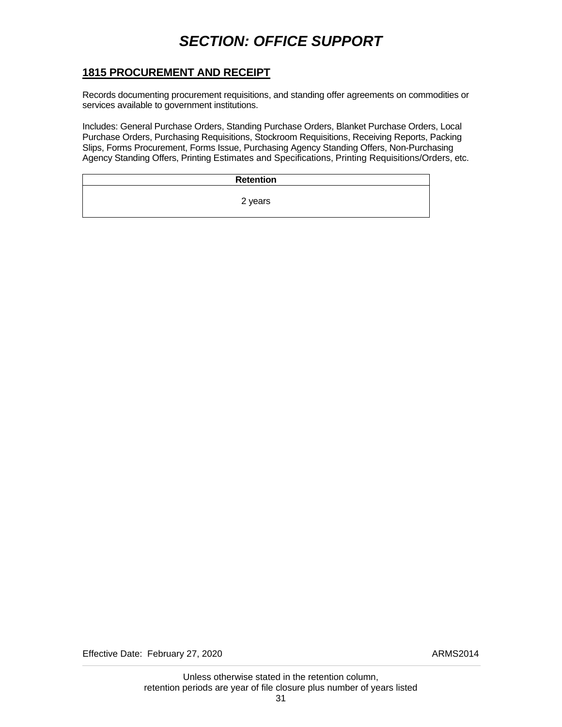## *SECTION: OFFICE SUPPORT*

### <span id="page-34-0"></span>**1815 PROCUREMENT AND RECEIPT**

Records documenting procurement requisitions, and standing offer agreements on commodities or services available to government institutions.

Includes: General Purchase Orders, Standing Purchase Orders, Blanket Purchase Orders, Local Purchase Orders, Purchasing Requisitions, Stockroom Requisitions, Receiving Reports, Packing Slips, Forms Procurement, Forms Issue, Purchasing Agency Standing Offers, Non-Purchasing Agency Standing Offers, Printing Estimates and Specifications, Printing Requisitions/Orders, etc.

| <b>Retention</b> |  |
|------------------|--|
| 2 years          |  |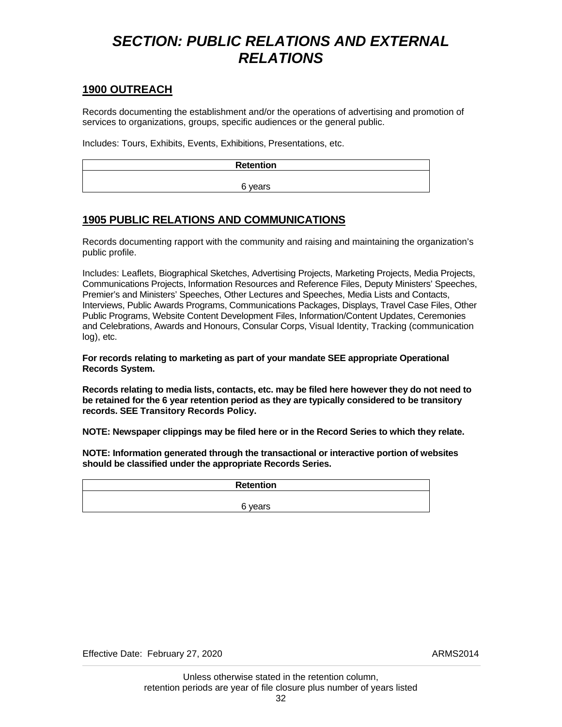## <span id="page-35-0"></span>*SECTION: PUBLIC RELATIONS AND EXTERNAL RELATIONS*

#### **1900 OUTREACH**

Records documenting the establishment and/or the operations of advertising and promotion of services to organizations, groups, specific audiences or the general public.

Includes: Tours, Exhibits, Events, Exhibitions, Presentations, etc.

| Retention |
|-----------|
| 6 years   |
|           |

### **1905 PUBLIC RELATIONS AND COMMUNICATIONS**

Records documenting rapport with the community and raising and maintaining the organization's public profile.

Includes: Leaflets, Biographical Sketches, Advertising Projects, Marketing Projects, Media Projects, Communications Projects, Information Resources and Reference Files, Deputy Ministers' Speeches, Premier's and Ministers' Speeches, Other Lectures and Speeches, Media Lists and Contacts, Interviews, Public Awards Programs, Communications Packages, Displays, Travel Case Files, Other Public Programs, Website Content Development Files, Information/Content Updates, Ceremonies and Celebrations, Awards and Honours, Consular Corps, Visual Identity, Tracking (communication log), etc.

**For records relating to marketing as part of your mandate SEE appropriate Operational Records System.** 

**Records relating to media lists, contacts, etc. may be filed here however they do not need to be retained for the 6 year retention period as they are typically considered to be transitory records. SEE Transitory Records Policy.** 

**NOTE: Newspaper clippings may be filed here or in the Record Series to which they relate.** 

**NOTE: Information generated through the transactional or interactive portion of websites should be classified under the appropriate Records Series.** 

| <b>Retention</b> |  |
|------------------|--|
|                  |  |
| 6 years          |  |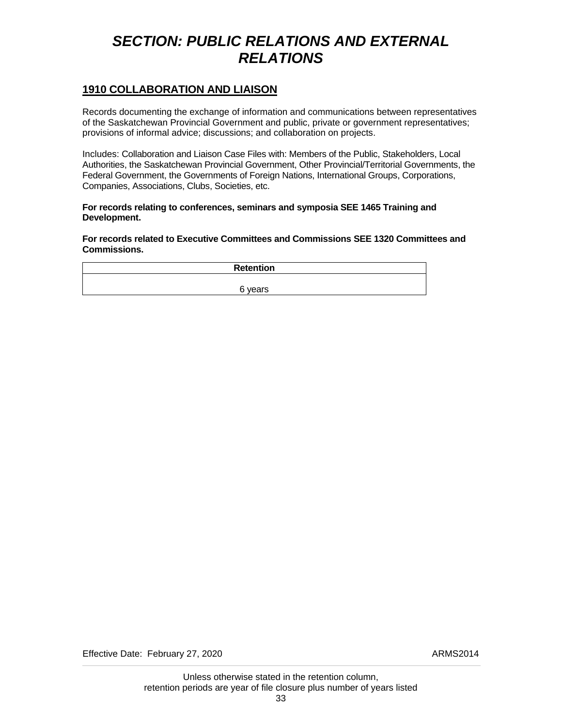## <span id="page-36-0"></span>*SECTION: PUBLIC RELATIONS AND EXTERNAL RELATIONS*

#### **1910 COLLABORATION AND LIAISON**

Records documenting the exchange of information and communications between representatives of the Saskatchewan Provincial Government and public, private or government representatives; provisions of informal advice; discussions; and collaboration on projects.

Includes: Collaboration and Liaison Case Files with: Members of the Public, Stakeholders, Local Authorities, the Saskatchewan Provincial Government, Other Provincial/Territorial Governments, the Federal Government, the Governments of Foreign Nations, International Groups, Corporations, Companies, Associations, Clubs, Societies, etc.

#### **For records relating to conferences, seminars and symposia SEE 1465 Training and Development.**

**For records related to Executive Committees and Commissions SEE 1320 Committees and Commissions.** 

| <b>Retention</b> |         |  |
|------------------|---------|--|
|                  |         |  |
|                  | 6 years |  |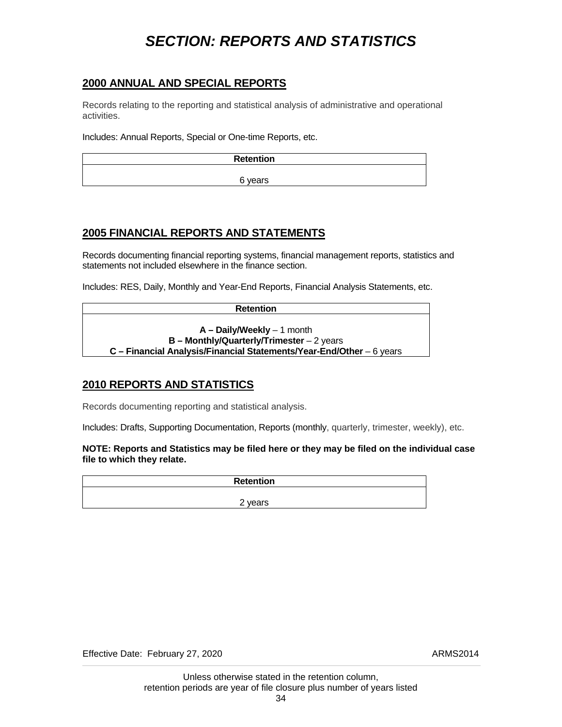## *SECTION: REPORTS AND STATISTICS*

#### <span id="page-37-0"></span>**2000 ANNUAL AND SPECIAL REPORTS**

Records relating to the reporting and statistical analysis of administrative and operational activities.

Includes: Annual Reports, Special or One-time Reports, etc.

| <b>Retention</b> |
|------------------|
|                  |
| 6 years          |

### **2005 FINANCIAL REPORTS AND STATEMENTS**

Records documenting financial reporting systems, financial management reports, statistics and statements not included elsewhere in the finance section.

Includes: RES, Daily, Monthly and Year-End Reports, Financial Analysis Statements, etc.

**Retention** 

**A – Daily/Weekly** – 1 month **B – Monthly/Quarterly/Trimester** – 2 years **C – Financial Analysis/Financial Statements/Year-End/Other** – 6 years

### **2010 REPORTS AND STATISTICS**

Records documenting reporting and statistical analysis.

Includes: Drafts, Supporting Documentation, Reports (monthly, quarterly, trimester, weekly), etc.

**NOTE: Reports and Statistics may be filed here or they may be filed on the individual case file to which they relate.** 

| Retention |
|-----------|
|           |
| 2 years   |